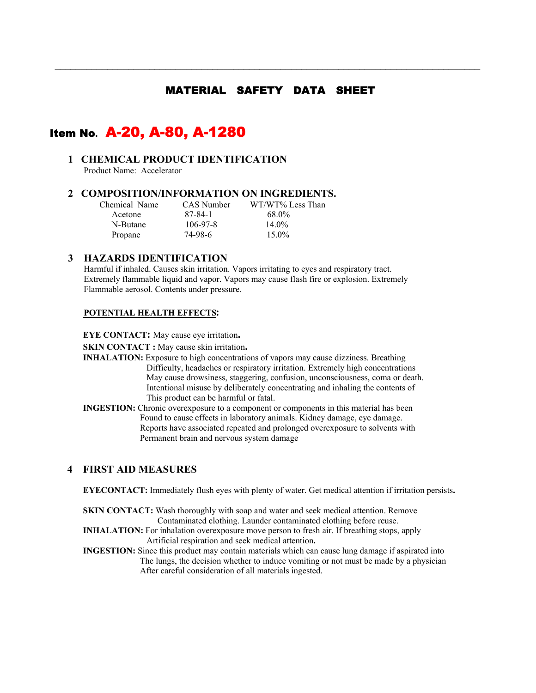# MATERIAL SAFETY DATA SHEET

 **\_\_\_\_\_\_\_\_\_\_\_\_\_\_\_\_\_\_\_\_\_\_\_\_\_\_\_\_\_\_\_\_\_\_\_\_\_\_\_\_\_\_\_\_\_\_\_\_\_\_\_\_\_\_\_\_\_\_\_\_\_\_\_\_\_\_\_\_\_\_\_\_\_\_\_\_\_\_\_\_\_** 

# Item No**.** A-20, A-80, A-1280

# **1 CHEMICAL PRODUCT IDENTIFICATION**

Product Name: Accelerator

#### **2 COMPOSITION/INFORMATION ON INGREDIENTS.**

| Chemical Name | CAS Number | WT/WT% Less Than |
|---------------|------------|------------------|
| Acetone       | 87-84-1    | 68.0%            |
| N-Butane      | $106-97-8$ | $14.0\%$         |
| Propane       | 74-98-6    | $15.0\%$         |

#### **3 HAZARDS IDENTIFICATION**

Harmful if inhaled. Causes skin irritation. Vapors irritating to eyes and respiratory tract. Extremely flammable liquid and vapor. Vapors may cause flash fire or explosion. Extremely Flammable aerosol. Contents under pressure.

#### **POTENTIAL HEALTH EFFECTS:**

**EYE CONTACT:** May cause eye irritation**.** 

- **SKIN CONTACT :** May cause skin irritation.<br>**INHALATION:** Exposure to high concentrations of vapors may cause dizziness. Breathing Difficulty, headaches or respiratory irritation. Extremely high concentrations May cause drowsiness, staggering, confusion, unconsciousness, coma or death. Intentional misuse by deliberately concentrating and inhaling the contents of This product can be harmful or fatal.
- **INGESTION:** Chronic overexposure to a component or components in this material has been Found to cause effects in laboratory animals. Kidney damage, eye damage. Reports have associated repeated and prolonged overexposure to solvents with Permanent brain and nervous system damage

#### **4 FIRST AID MEASURES**

**EYECONTACT:** Immediately flush eyes with plenty of water. Get medical attention if irritation persists**.** 

**SKIN CONTACT:** Wash thoroughly with soap and water and seek medical attention. Remove Contaminated clothing. Launder contaminated clothing before reuse.

- **INHALATION:** For inhalation overexposure move person to fresh air. If breathing stops, apply Artificial respiration and seek medical attention**.**
- **INGESTION:** Since this product may contain materials which can cause lung damage if aspirated into The lungs, the decision whether to induce vomiting or not must be made by a physician After careful consideration of all materials ingested.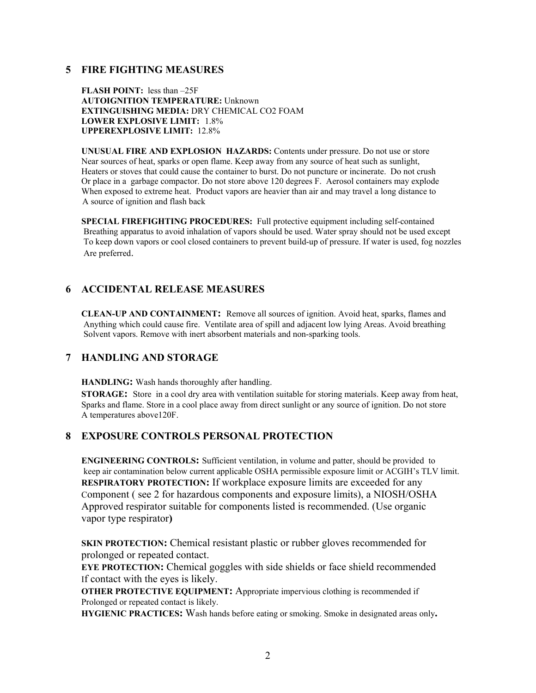### **5 FIRE FIGHTING MEASURES**

**FLASH POINT:** less than –25F **AUTOIGNITION TEMPERATURE:** Unknown **EXTINGUISHING MEDIA:** DRY CHEMICAL CO2 FOAM **LOWER EXPLOSIVE LIMIT:** 1.8% **UPPEREXPLOSIVE LIMIT:** 12.8%

**UNUSUAL FIRE AND EXPLOSION HAZARDS:** Contents under pressure. Do not use or store Near sources of heat, sparks or open flame. Keep away from any source of heat such as sunlight, Heaters or stoves that could cause the container to burst. Do not puncture or incinerate. Do not crush Or place in a garbage compactor. Do not store above 120 degrees F. Aerosol containers may explode When exposed to extreme heat. Product vapors are heavier than air and may travel a long distance to A source of ignition and flash back

**SPECIAL FIREFIGHTING PROCEDURES:** Full protective equipment including self-contained Breathing apparatus to avoid inhalation of vapors should be used. Water spray should not be used except To keep down vapors or cool closed containers to prevent build-up of pressure. If water is used, fog nozzles Are preferred.

# **6 ACCIDENTAL RELEASE MEASURES**

**CLEAN-UP AND CONTAINMENT:** Remove all sources of ignition. Avoid heat, sparks, flames and Anything which could cause fire. Ventilate area of spill and adjacent low lying Areas. Avoid breathing Solvent vapors. Remove with inert absorbent materials and non-sparking tools.

# **7 HANDLING AND STORAGE**

**HANDLING:** Wash hands thoroughly after handling.

**STORAGE:** Store in a cool dry area with ventilation suitable for storing materials. Keep away from heat, Sparks and flame. Store in a cool place away from direct sunlight or any source of ignition. Do not store A temperatures above120F.

# **8 EXPOSURE CONTROLS PERSONAL PROTECTION**

**ENGINEERING CONTROLS:** Sufficient ventilation, in volume and patter, should be provided to keep air contamination below current applicable OSHA permissible exposure limit or ACGIH's TLV limit. **RESPIRATORY PROTECTION:** If workplace exposure limits are exceeded for any Component ( see 2 for hazardous components and exposure limits), a NIOSH/OSHA Approved respirator suitable for components listed is recommended. (Use organic vapor type respirator**)** 

**SKIN PROTECTION:** Chemical resistant plastic or rubber gloves recommended for prolonged or repeated contact.

**EYE PROTECTION:** Chemical goggles with side shields or face shield recommended If contact with the eyes is likely.

**OTHER PROTECTIVE EQUIPMENT:** Appropriate impervious clothing is recommended if Prolonged or repeated contact is likely.

**HYGIENIC PRACTICES:** Wash hands before eating or smoking. Smoke in designated areas only**.**